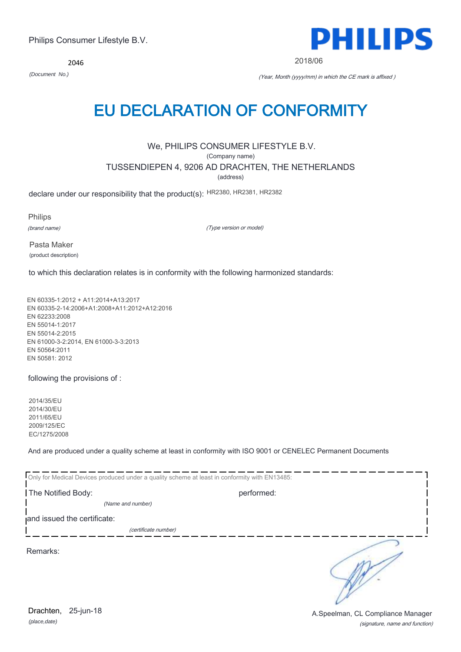*(place,date)* Drachten, 25-jun-18

(signature, name and function) A.Speelman, CL Compliance Manager

2046

*(Document No.)* (Year, Month (yyyy/mm) in which the CE mark is affixed )

2018/06

# EU DECLARATION OF CONFORMITY

We, PHILIPS CONSUMER LIFESTYLE B.V.

(Company name)

TUSSENDIEPEN 4, 9206 AD DRACHTEN, THE NETHERLANDS

(address)

declare under our responsibility that the product(s): HR2380, HR2381, HR2382

Philips

(brand name)

(Type version or model)

Pasta Maker (product description)

to which this declaration relates is in conformity with the following harmonized standards:

EN 60335-1:2012 + A11:2014+A13:2017 EN 60335-2-14:2006+A1:2008+A11:2012+A12:2016 EN 62233:2008 EN 55014-1:2017 EN 55014-2:2015 EN 61000-3-2:2014, EN 61000-3-3:2013 EN 50564:2011 EN 50581: 2012

following the provisions of :

2014/35/EU 2014/30/EU 2011/65/EU 2009/125/EC EC/1275/2008

And are produced under a quality scheme at least in conformity with ISO 9001 or CENELEC Permanent Documents

| Only for Medical Devices produced under a quality scheme at least in conformity with EN13485: |            |  |
|-----------------------------------------------------------------------------------------------|------------|--|
| The Notified Body:                                                                            | performed: |  |
| (Name and number)                                                                             |            |  |
| and issued the certificate:                                                                   |            |  |
| (certificate number)                                                                          |            |  |
| Remarks:                                                                                      |            |  |

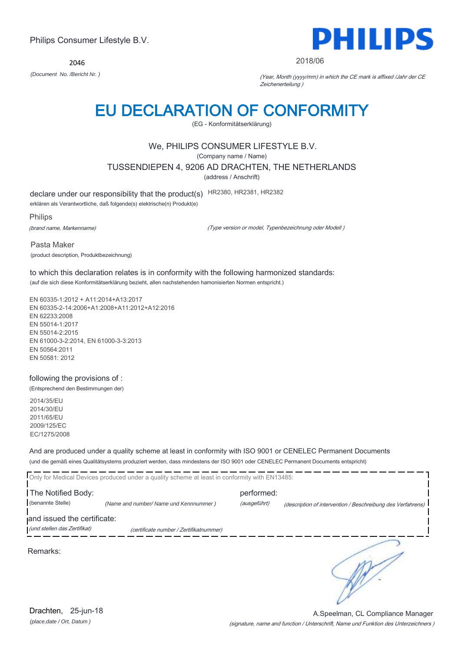2046



### 2018/06

*(Document No. /Bericht Nr. )* (Year, Month (yyyy/mm) in which the CE mark is affixed /Jahr der CE Zeichenerteilung )

# EU DECLARATION OF CONFORMITY

(EG - Konformitätserklärung)

# We, PHILIPS CONSUMER LIFESTYLE B.V.

(Company name / Name)

TUSSENDIEPEN 4, 9206 AD DRACHTEN, THE NETHERLANDS

(address / Anschrift)

declare under our responsibility that the product(s) HR2380, HR2381, HR2382

erklären als Verantwortliche, daß folgende(s) elektrische(n) Produkt(e)

Philips

(brand name, Markenname)

(Type version or model, Typenbezeichnung oder Modell )

Pasta Maker (product description, Produktbezeichnung)

to which this declaration relates is in conformity with the following harmonized standards: (auf die sich diese Konformitätserklärung bezieht, allen nachstehenden hamonisierten Normen entspricht.)

EN 60335-1:2012 + A11:2014+A13:2017 EN 60335-2-14:2006+A1:2008+A11:2012+A12:2016 EN 62233:2008 EN 55014-1:2017 EN 55014-2:2015 EN 61000-3-2:2014, EN 61000-3-3:2013 EN 50564:2011 EN 50581: 2012

## following the provisions of :

(Entsprechend den Bestimmungen der)

2014/35/EU 2014/30/EU 2011/65/EU 2009/125/EC EC/1275/2008

And are produced under a quality scheme at least in conformity with ISO 9001 or CENELEC Permanent Documents (und die gemäß eines Qualitätsystems produziert werden, dass mindestens der ISO 9001 oder CENELEC Permanent Documents entspricht)

|                                         | Only for Medical Devices produced under a quality scheme at least in conformity with EN13485: |                            |                                                             |
|-----------------------------------------|-----------------------------------------------------------------------------------------------|----------------------------|-------------------------------------------------------------|
| The Notified Body:<br>(benannte Stelle) | (Name and number/ Name und Kennnummer)                                                        | performed:<br>(ausgeführt) | (description of intervention / Beschreibung des Verfahrens) |
| and issued the certificate:             |                                                                                               |                            |                                                             |
| (und stellen das Zertifikat)            | (certificate number / Zertifikatnummer)                                                       |                            |                                                             |
| Remarks:                                |                                                                                               |                            |                                                             |

*(place,date / Ort, Datum )* Drachten, 25-jun-18

(signature, name and function / Unterschrift, Name und Funktion des Unterzeichners ) A.Speelman, CL Compliance Manager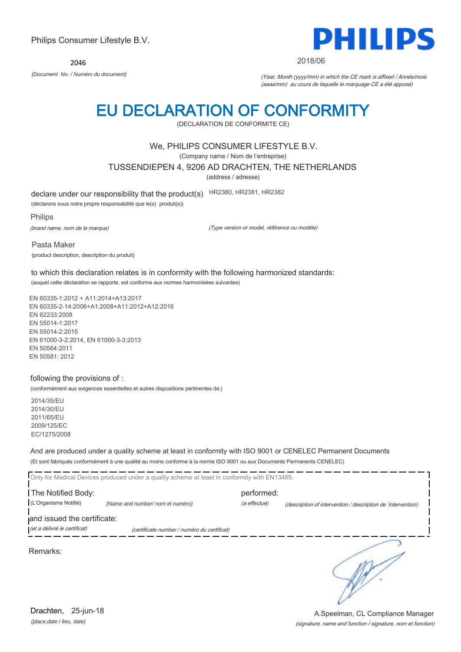2046

Philips Consumer Lifestyle B.V.



2018/06

*(Document No. / Numéro du document)* (Year, Month (yyyy/mm) in which the CE mark is affixed / Année/mois (aaaa/mm) au cours de laquelle le marquage CE a été apposé)

# EU DECLARATION OF CONFORMITY

(DECLARATION DE CONFORMITE CE)

## We, PHILIPS CONSUMER LIFESTYLE B.V.

(Company name / Nom de l'entreprise)

TUSSENDIEPEN 4, 9206 AD DRACHTEN, THE NETHERLANDS

(address / adresse)

declare under our responsibility that the product(s) HR2380, HR2381, HR2382

(déclarons sous notre propre responsabilité que le(s) produit(s))

Philips

(brand name, nom de la marque)

(Type version or model, référence ou modèle)

Pasta Maker (product description, description du produit)

to which this declaration relates is in conformity with the following harmonized standards: (auquel cette déclaration se rapporte, est conforme aux normes harmonisées suivantes)

EN 60335-1:2012 + A11:2014+A13:2017 EN 60335-2-14:2006+A1:2008+A11:2012+A12:2016 EN 62233:2008 EN 55014-1:2017 EN 55014-2:2015 EN 61000-3-2:2014, EN 61000-3-3:2013 EN 50564:2011 EN 50581: 2012

## following the provisions of :

(conformément aux exigences essentielles et autres dispositions pertinentes de:)

2014/35/EU 2014/30/EU 2011/65/EU 2009/125/EC EC/1275/2008

And are produced under a quality scheme at least in conformity with ISO 9001 or CENELEC Permanent Documents (Et sont fabriqués conformément à une qualité au moins conforme à la norme ISO 9001 ou aux Documents Permanents CENELEC)

|                              | Only for Medical Devices produced under a quality scheme at least in conformity with EN13485: |              |                                                              |  |
|------------------------------|-----------------------------------------------------------------------------------------------|--------------|--------------------------------------------------------------|--|
| The Notified Body:           |                                                                                               | performed:   |                                                              |  |
| (L'Organisme Notifié)        | (Name and number/nom et numéro)                                                               | (a effectué) | (description of intervention / description de 'intervention) |  |
| and issued the certificate:  |                                                                                               |              |                                                              |  |
| (et a délivré le certificat) | (certificate number / numéro du certificat)                                                   |              |                                                              |  |
| Remarks:                     |                                                                                               |              |                                                              |  |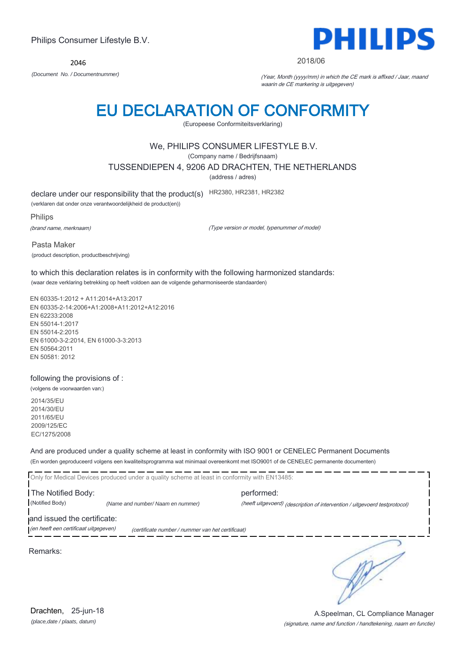2046



### 2018/06

*(Document No. / Documentnummer)* (Year, Month (yyyy/mm) in which the CE mark is affixed / Jaar, maand waarin de CE markering is uitgegeven)

# EU DECLARATION OF CONFORMITY

(Europeese Conformiteitsverklaring)

# We, PHILIPS CONSUMER LIFESTYLE B.V.

(Company name / Bedrijfsnaam)

TUSSENDIEPEN 4, 9206 AD DRACHTEN, THE NETHERLANDS

(address / adres)

declare under our responsibility that the product(s) HR2380, HR2381, HR2382

(verklaren dat onder onze verantwoordelijkheid de product(en))

Philips

(brand name, merknaam)

(Type version or model, typenummer of model)

Pasta Maker (product description, productbeschrijving)

to which this declaration relates is in conformity with the following harmonized standards: (waar deze verklaring betrekking op heeft voldoen aan de volgende geharmoniseerde standaarden)

EN 60335-1:2012 + A11:2014+A13:2017 EN 60335-2-14:2006+A1:2008+A11:2012+A12:2016 EN 62233:2008 EN 55014-1:2017 EN 55014-2:2015 EN 61000-3-2:2014, EN 61000-3-3:2013 EN 50564:2011 EN 50581: 2012

## following the provisions of :

(volgens de voorwaarden van:)

2014/35/EU 2014/30/EU 2011/65/EU 2009/125/EC EC/1275/2008

And are produced under a quality scheme at least in conformity with ISO 9001 or CENELEC Permanent Documents (En worden geproduceerd volgens een kwaliteitsprogramma wat minimaal overeenkomt met ISO9001 of de CENELEC permanente documenten)

Only for Medical Devices produced under a quality scheme at least in conformity with EN13485: The Notified Body: performed: (Notified Body) *(Name and number/ Naam en nummer)* (heeft uitgevoerd) (description of intervention / uitgevoerd testprotocol) and issued the certificate: (en heeft een certificaat uitgegeven) (certificate number / nummer van het certificaat) ∍

Remarks: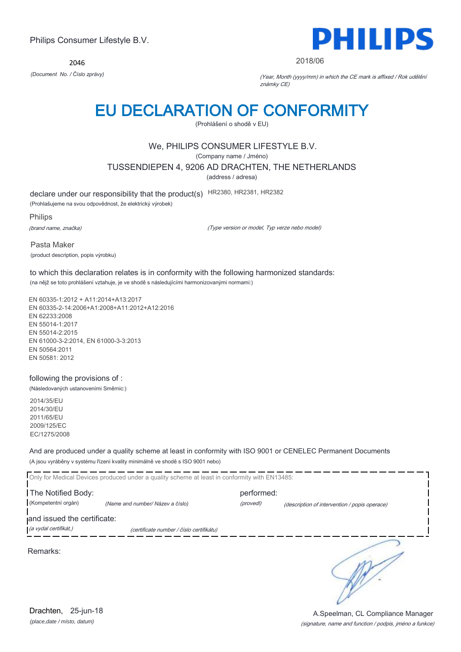2046



### 2018/06

*(Document No. / Číslo zprávy)* (Year, Month (yyyy/mm) in which the CE mark is affixed / Rok udělění známky CE)

# EU DECLARATION OF CONFORMITY

(Prohlášení o shodě v EU)

# We, PHILIPS CONSUMER LIFESTYLE B.V.

(Company name / Jméno)

TUSSENDIEPEN 4, 9206 AD DRACHTEN, THE NETHERLANDS

(address / adresa)

declare under our responsibility that the product(s) HR2380, HR2381, HR2382

(Prohlašujeme na svou odpovědnost, že elektrický výrobek)

Philips

(brand name, značka)

(Type version or model, Typ verze nebo model)

Pasta Maker (product description, popis výrobku)

to which this declaration relates is in conformity with the following harmonized standards: (na nějž se toto prohlášení vztahuje, je ve shodě s následujícími harmonizovanými normami:)

EN 60335-1:2012 + A11:2014+A13:2017 EN 60335-2-14:2006+A1:2008+A11:2012+A12:2016 EN 62233:2008 EN 55014-1:2017 EN 55014-2:2015 EN 61000-3-2:2014, EN 61000-3-3:2013 EN 50564:2011 EN 50581: 2012

## following the provisions of :

(Následovaných ustanoveními Směrnic:)

2014/35/EU 2014/30/EU 2011/65/EU 2009/125/EC EC/1275/2008

And are produced under a quality scheme at least in conformity with ISO 9001 or CENELEC Permanent Documents (A jsou vyráběny v systému řízení kvality minimálně ve shodě s ISO 9001 nebo)

|                                           | Only for Medical Devices produced under a quality scheme at least in conformity with EN13485: |                         |                                               |
|-------------------------------------------|-----------------------------------------------------------------------------------------------|-------------------------|-----------------------------------------------|
| The Notified Body:<br>(Kompetentní orgán) | (Name and number/ Název a číslo)                                                              | performed:<br>(provedl) | (description of intervention / popis operace) |
| and issued the certificate:               |                                                                                               |                         |                                               |
| (a vydal certifikát,)                     | (certificate number / číslo certifikátu)                                                      |                         |                                               |
| Remarks:                                  |                                                                                               |                         |                                               |

*(place,date / místo, datum)* Drachten, 25-jun-18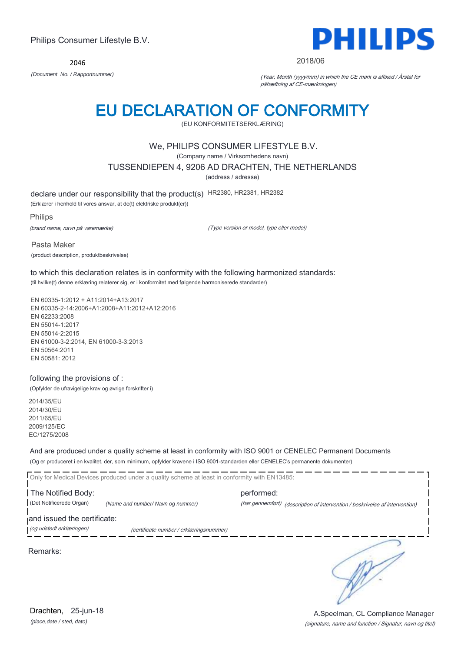2046



### 2018/06

*(Document No. / Rapportnummer)* (Year, Month (yyyy/mm) in which the CE mark is affixed / Årstal for påhæftning af CE-mærkningen)

# EU DECLARATION OF CONFORMITY

(EU KONFORMITETSERKLÆRING)

# We, PHILIPS CONSUMER LIFESTYLE B.V.

(Company name / Virksomhedens navn)

TUSSENDIEPEN 4, 9206 AD DRACHTEN, THE NETHERLANDS

(address / adresse)

declare under our responsibility that the product(s) HR2380, HR2381, HR2382

(Erklærer i henhold til vores ansvar, at de(t) elektriske produkt(er))

Philips

(brand name, navn på varemærke)

(Type version or model, type eller model)

Pasta Maker (product description, produktbeskrivelse)

to which this declaration relates is in conformity with the following harmonized standards: (til hvilke(t) denne erklæring relaterer sig, er i konformitet med følgende harmoniserede standarder)

EN 60335-1:2012 + A11:2014+A13:2017 EN 60335-2-14:2006+A1:2008+A11:2012+A12:2016 EN 62233:2008 EN 55014-1:2017 EN 55014-2:2015 EN 61000-3-2:2014, EN 61000-3-3:2013 EN 50564:2011 EN 50581: 2012

## following the provisions of :

(Opfylder de ufravigelige krav og øvrige forskrifter i)

2014/35/EU 2014/30/EU 2011/65/EU 2009/125/EC EC/1275/2008

And are produced under a quality scheme at least in conformity with ISO 9001 or CENELEC Permanent Documents (Og er produceret i en kvalitet, der, som minimum, opfylder kravene i ISO 9001-standarden eller CENELEC's permanente dokumenter)

Only for Medical Devices produced under a quality scheme at least in conformity with EN13485: The Notified Body: example and the performed: (Det Notificerede Organ) *(Name and number/ Navn og nummer)* (har gennemført) (description of intervention / beskrivelse af intervention) and issued the certificate: (og udstedt erklæringen) (certificate number / erklæringsnummer)

Remarks:

∍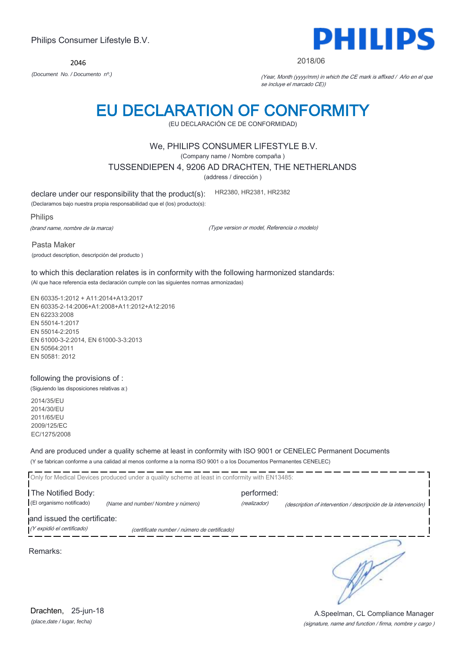*(place,date / lugar, fecha)* Drachten, 25-jun-18

## (signature, name and function / firma, nombre y cargo ) A.Speelman, CL Compliance Manager

 $\frac{1}{2}$  and  $\frac{1}{2}$  and  $\frac{1}{2}$  and  $\frac{1}{2}$  and  $\frac{1}{2}$ 

*(Document No. / Documento nº.)* (Year, Month (yyyy/mm) in which the CE mark is affixed / Año en el que se incluye el marcado CE))

# Philips Consumer Lifestyle B.V.

2046

# EU DECLARATION OF CONFORMITY

(EU DECLARACIÓN CE DE CONFORMIDAD)

# We, PHILIPS CONSUMER LIFESTYLE B.V.

(Company name / Nombre compaña )

TUSSENDIEPEN 4, 9206 AD DRACHTEN, THE NETHERLANDS

(address / dirección )

declare under our responsibility that the product(s): HR2380, HR2381, HR2382

(Declaramos bajo nuestra propia responsabilidad que el (los) producto(s):

Philips

(brand name, nombre de la marca)

(Type version or model, Referencia o modelo)

Pasta Maker (product description, descripción del producto )

to which this declaration relates is in conformity with the following harmonized standards: (Al que hace referencia esta declaración cumple con las siguientes normas armonizadas)

EN 60335-1:2012 + A11:2014+A13:2017 EN 60335-2-14:2006+A1:2008+A11:2012+A12:2016 EN 62233:2008 EN 55014-1:2017 EN 55014-2:2015 EN 61000-3-2:2014, EN 61000-3-3:2013 EN 50564:2011 EN 50581: 2012

## following the provisions of :

(Siguiendo las disposiciones relativas a:)

2014/35/EU 2014/30/EU 2011/65/EU 2009/125/EC EC/1275/2008

And are produced under a quality scheme at least in conformity with ISO 9001 or CENELEC Permanent Documents (Y se fabrican conforme a una calidad al menos conforme a la norma ISO 9001 o a los Documentos Permanentes CENELEC)

----------------------------

|                             | Only for Medical Devices produced under a quality scheme at least in conformity with EN13485: |              |                                                                |
|-----------------------------|-----------------------------------------------------------------------------------------------|--------------|----------------------------------------------------------------|
| The Notified Body:          |                                                                                               | performed:   |                                                                |
| (El organismo notificado)   | (Name and number/ Nombre y número)                                                            | (realizador) | (description of intervention / descripción de la intervención) |
| and issued the certificate: |                                                                                               |              |                                                                |
| (Y expidió el certificado)  | (certificate number / número de certificado)                                                  |              |                                                                |
|                             |                                                                                               |              |                                                                |

Remarks:

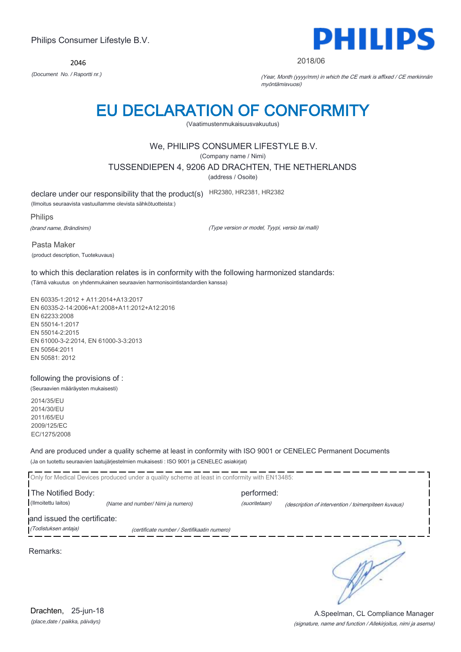2046



### 2018/06

*(Document No. / Raportti nr.)* (Year, Month (yyyy/mm) in which the CE mark is affixed / CE merkinnän myöntämisvuosi)

# EU DECLARATION OF CONFORMITY

(Vaatimustenmukaisuusvakuutus)

# We, PHILIPS CONSUMER LIFESTYLE B.V.

(Company name / Nimi)

TUSSENDIEPEN 4, 9206 AD DRACHTEN, THE NETHERLANDS

(address / Osoite)

declare under our responsibility that the product(s) HR2380, HR2381, HR2382

(Ilmoitus seuraavista vastuullamme olevista sähkötuotteista:)

Philips

(brand name, Brändinimi)

(Type version or model, Tyypi, versio tai malli)

Pasta Maker (product description, Tuotekuvaus)

to which this declaration relates is in conformity with the following harmonized standards: (Tämä vakuutus on yhdenmukainen seuraavien harmonisointistandardien kanssa)

EN 60335-1:2012 + A11:2014+A13:2017 EN 60335-2-14:2006+A1:2008+A11:2012+A12:2016 EN 62233:2008 EN 55014-1:2017 EN 55014-2:2015 EN 61000-3-2:2014, EN 61000-3-3:2013 EN 50564:2011 EN 50581: 2012

## following the provisions of :

(Seuraavien määräysten mukaisesti)

2014/35/EU 2014/30/EU 2011/65/EU 2009/125/EC EC/1275/2008

And are produced under a quality scheme at least in conformity with ISO 9001 or CENELEC Permanent Documents (Ja on tuotettu seuraavien laatujärjestelmien mukaisesti : ISO 9001 ja CENELEC asiakirjat)

|                                                     | Only for Medical Devices produced under a quality scheme at least in conformity with EN13485: |                             |                                                     |
|-----------------------------------------------------|-----------------------------------------------------------------------------------------------|-----------------------------|-----------------------------------------------------|
| The Notified Body:<br>(Ilmoitettu laitos)           | (Name and number/ Nimi ja numero)                                                             | performed:<br>(suoritetaan) | (description of intervention / toimenpiteen kuvaus) |
| and issued the certificate:<br>(Todistuksen antaja) | (certificate number / Sertifikaatin numero)                                                   |                             |                                                     |
| Remarks:                                            |                                                                                               |                             |                                                     |

*(place,date / paikka, päiväys)* Drachten, 25-jun-18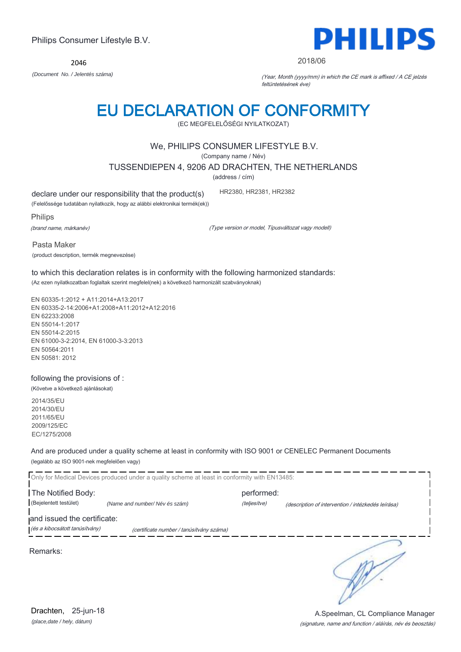2046

# EU DECLARATION OF CONFORMITY

(EC MEGFELELŐSÉGI NYILATKOZAT)

# We, PHILIPS CONSUMER LIFESTYLE B.V.

(Company name / Név)

TUSSENDIEPEN 4, 9206 AD DRACHTEN, THE NETHERLANDS

(address / cím)

declare under our responsibility that the product(s)

(Felelőssége tudatában nyilatkozik, hogy az alábbi elektronikai termék(ek))

Philips

(brand name, márkanév)

(Type version or model, Típusváltozat vagy modell)

Pasta Maker (product description, termék megnevezése)

to which this declaration relates is in conformity with the following harmonized standards: (Az ezen nyilatkozatban foglaltak szerint megfelel(nek) a következő harmonizált szabványoknak)

EN 60335-1:2012 + A11:2014+A13:2017 EN 60335-2-14:2006+A1:2008+A11:2012+A12:2016 EN 62233:2008 EN 55014-1:2017 EN 55014-2:2015 EN 61000-3-2:2014, EN 61000-3-3:2013 EN 50564:2011 EN 50581: 2012

following the provisions of :

(Követve a következő ajánlásokat)

2014/35/EU 2014/30/EU 2011/65/EU 2009/125/EC EC/1275/2008

And are produced under a quality scheme at least in conformity with ISO 9001 or CENELEC Permanent Documents (legalább az ISO 9001-nek megfelelően vagy)

|                                | Only for Medical Devices produced under a quality scheme at least in conformity with EN13485: |              |                                                    |
|--------------------------------|-----------------------------------------------------------------------------------------------|--------------|----------------------------------------------------|
| The Notified Body:             |                                                                                               | performed:   |                                                    |
| (Bejelentett testület)         | (Name and number/Név és szám)                                                                 | (teljesítve) | (description of intervention / intézkedés leírása) |
| and issued the certificate:    |                                                                                               |              |                                                    |
| (és a kibocsátott tanúsítvány) | (certificate number / tanúsítvány száma)                                                      |              |                                                    |
| Remarks:                       |                                                                                               |              |                                                    |



# **PHILIPS**

2018/06

*(Document No. / Jelentés száma)* (Year, Month (yyyy/mm) in which the CE mark is affixed / A CE jelzés feltüntetésének éve)



HR2380, HR2381, HR2382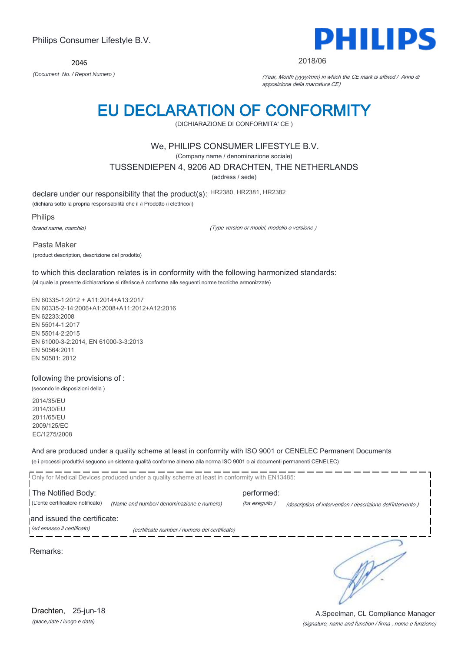2046



### 2018/06

*(Document No. / Report Numero )* (Year, Month (yyyy/mm) in which the CE mark is affixed / Anno di apposizione della marcatura CE)

# EU DECLARATION OF CONFORMITY

(DICHIARAZIONE DI CONFORMITA' CE )

# We, PHILIPS CONSUMER LIFESTYLE B.V.

(Company name / denominazione sociale)

TUSSENDIEPEN 4, 9206 AD DRACHTEN, THE NETHERLANDS

(address / sede)

declare under our responsibility that the product(s): HR2380, HR2381, HR2382

(dichiara sotto la propria responsabilità che il /i Prodotto /i elettrico/i)

Philips

(brand name, marchio)

(Type version or model, modello o versione )

Pasta Maker (product description, descrizione del prodotto)

to which this declaration relates is in conformity with the following harmonized standards: (al quale la presente dichiarazione si riferisce è conforme alle seguenti norme tecniche armonizzate)

EN 60335-1:2012 + A11:2014+A13:2017 EN 60335-2-14:2006+A1:2008+A11:2012+A12:2016 EN 62233:2008 EN 55014-1:2017 EN 55014-2:2015 EN 61000-3-2:2014, EN 61000-3-3:2013 EN 50564:2011 EN 50581: 2012

## following the provisions of :

(secondo le disposizioni della )

2014/35/EU 2014/30/EU 2011/65/EU 2009/125/EC EC/1275/2008

And are produced under a quality scheme at least in conformity with ISO 9001 or CENELEC Permanent Documents (e i processi produttivi seguono un sistema qualità conforme almeno alla norma ISO 9001 o ai documenti permanenti CENELEC)

| Only for Medical Devices produced under a quality scheme at least in conformity with EN13485: |                                               |                             |                                                             |  |
|-----------------------------------------------------------------------------------------------|-----------------------------------------------|-----------------------------|-------------------------------------------------------------|--|
| The Notified Body:<br>(L'ente certificatore notificato)                                       | (Name and number/ denominazione e numero)     | performed:<br>(ha eseguito) | (description of intervention / descrizione dell'intervento) |  |
| and issued the certificate:<br>(ed emesso il certificato)                                     | (certificate number / numero del certificato) |                             |                                                             |  |
| Remarks:                                                                                      |                                               |                             |                                                             |  |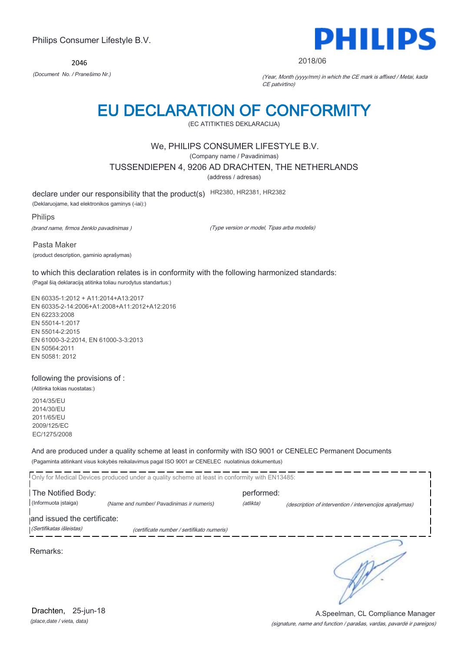2046



2018/06

*(Document No. / Pranešimo Nr.)* (Year, Month (yyyy/mm) in which the CE mark is affixed / Metai, kada CE patvirtino)

# EU DECLARATION OF CONFORMITY

(EC ATITIKTIES DEKLARACIJA)

# We, PHILIPS CONSUMER LIFESTYLE B.V.

(Company name / Pavadinimas)

TUSSENDIEPEN 4, 9206 AD DRACHTEN, THE NETHERLANDS

(address / adresas)

declare under our responsibility that the product(s) HR2380, HR2381, HR2382

(Deklaruojame, kad elektronikos gaminys (-iai):)

Philips

(brand name, firmos ženklo pavadinimas )

(Type version or model, Tipas arba modelis)

Pasta Maker

(product description, gaminio aprašymas)

to which this declaration relates is in conformity with the following harmonized standards:

(Pagal šią deklaraciją atitinka toliau nurodytus standartus:)

EN 60335-1:2012 + A11:2014+A13:2017 EN 60335-2-14:2006+A1:2008+A11:2012+A12:2016 EN 62233:2008 EN 55014-1:2017 EN 55014-2:2015 EN 61000-3-2:2014, EN 61000-3-3:2013 EN 50564:2011 EN 50581: 2012

## following the provisions of :

(Atitinka tokias nuostatas:)

2014/35/EU 2014/30/EU 2011/65/EU 2009/125/EC EC/1275/2008

And are produced under a quality scheme at least in conformity with ISO 9001 or CENELEC Permanent Documents (Pagaminta atitinkant visus kokybės reikalavimus pagal ISO 9001 ar CENELEC nuolatinius dokumentus)

|                             | Only for Medical Devices produced under a quality scheme at least in conformity with EN13485: |            |                                                         |
|-----------------------------|-----------------------------------------------------------------------------------------------|------------|---------------------------------------------------------|
| The Notified Body:          |                                                                                               | performed: |                                                         |
| (Informuota istaiga)        | (Name and number/ Pavadinimas ir numeris)                                                     | (atlikta)  | (description of intervention / intervencijos aprašymas) |
| and issued the certificate: |                                                                                               |            |                                                         |
| (Sertifikatas išleistas)    | (certificate number / sertifikato numeris)                                                    |            |                                                         |
| Remarks:                    |                                                                                               |            |                                                         |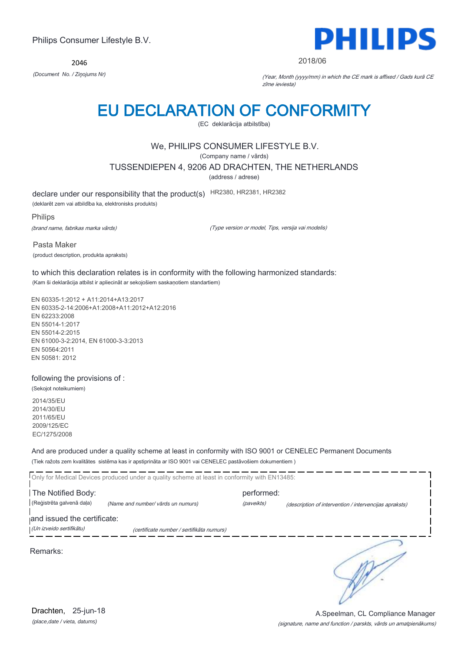2046



### 2018/06

*(Document No. / Ziņojums Nr)* (Year, Month (yyyy/mm) in which the CE mark is affixed / Gads kurā CE zīme ieviesta)

# EU DECLARATION OF CONFORMITY

(EC deklarācija atbilstība)

# We, PHILIPS CONSUMER LIFESTYLE B.V.

(Company name / vārds)

TUSSENDIEPEN 4, 9206 AD DRACHTEN, THE NETHERLANDS

(address / adrese)

declare under our responsibility that the product(s) HR2380, HR2381, HR2382

(deklarēt zem vai atbildība ka, elektronisks produkts)

Philips

(brand name, fabrikas marka vārds)

(Type version or model, Tips, versija vai modelis)

Pasta Maker (product description, produkta apraksts)

to which this declaration relates is in conformity with the following harmonized standards: (Kam ši deklarācija atbilst ir apliecināt ar sekojošiem saskaņotiem standartiem)

EN 60335-1:2012 + A11:2014+A13:2017 EN 60335-2-14:2006+A1:2008+A11:2012+A12:2016 EN 62233:2008 EN 55014-1:2017 EN 55014-2:2015 EN 61000-3-2:2014, EN 61000-3-3:2013 EN 50564:2011 EN 50581: 2012

## following the provisions of :

(Sekojot noteikumiem) 2014/35/EU 2014/30/EU 2011/65/EU 2009/125/EC EC/1275/2008

And are produced under a quality scheme at least in conformity with ISO 9001 or CENELEC Permanent Documents (Tiek ražots zem kvalitātes sistēma kas ir apstiprināta ar ISO 9001 vai CENELEC pastāvošiem dokumentiem )

|                             | Only for Medical Devices produced under a quality scheme at least in conformity with EN13485: |            |                                                        |
|-----------------------------|-----------------------------------------------------------------------------------------------|------------|--------------------------------------------------------|
| The Notified Body:          |                                                                                               | performed: |                                                        |
| (Reģistrēta galvenā daļa)   | (Name and number/ vārds un numurs)                                                            | (paveikts) | (description of intervention / intervencijas apraksts) |
| and issued the certificate: |                                                                                               |            |                                                        |
| (Un izveido sertifikātu)    | (certificate number / sertifikāta numurs)                                                     |            |                                                        |
| Remarks:                    |                                                                                               |            |                                                        |

*(place,date / vieta, datums)* Drachten, 25-jun-18

### (signature, name and function / parskts, vārds un amatpienākums) A.Speelman, CL Compliance Manager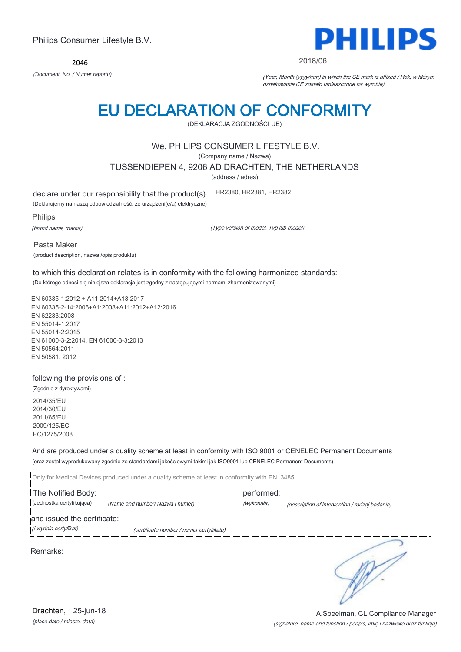2046



2018/06

*(Document No. / Numer raportu)* (Year, Month (yyyy/mm) in which the CE mark is affixed / Rok, w którym oznakowanie CE zostało umieszczone na wyrobie)

# EU DECLARATION OF CONFORMITY

(DEKLARACJA ZGODNOŚCI UE)

# We, PHILIPS CONSUMER LIFESTYLE B.V.

(Company name / Nazwa)

TUSSENDIEPEN 4, 9206 AD DRACHTEN, THE NETHERLANDS

(address / adres)

declare under our responsibility that the product(s)

(Deklarujemy na naszą odpowiedzialność, że urządzeni(e/a) elektryczne)

Philips

(brand name, marka)

(Type version or model, Typ lub model)

HR2380, HR2381, HR2382

Pasta Maker

(product description, nazwa /opis produktu)

to which this declaration relates is in conformity with the following harmonized standards: (Do którego odnosi się niniejsza deklaracja jest zgodny z następującymi normami zharmonizowanymi)

EN 60335-1:2012 + A11:2014+A13:2017 EN 60335-2-14:2006+A1:2008+A11:2012+A12:2016 EN 62233:2008 EN 55014-1:2017 EN 55014-2:2015 EN 61000-3-2:2014, EN 61000-3-3:2013 EN 50564:2011 EN 50581: 2012

## following the provisions of :

(Zgodnie z dyrektywami) 2014/35/EU 2014/30/EU 2011/65/EU 2009/125/EC EC/1275/2008

And are produced under a quality scheme at least in conformity with ISO 9001 or CENELEC Permanent Documents (oraz został wyprodukowany zgodnie ze standardami jakościowymi takimi jak ISO9001 lub CENELEC Permanent Documents)

|                             | Only for Medical Devices produced under a quality scheme at least in conformity with EN13485: |            |                                                |
|-----------------------------|-----------------------------------------------------------------------------------------------|------------|------------------------------------------------|
| The Notified Body:          |                                                                                               | performed: |                                                |
| (Jednostka certyfikująca)   | (Name and number/ Nazwa i numer)                                                              | (wykonała) | (description of intervention / rodzaj badania) |
| and issued the certificate: |                                                                                               |            |                                                |
| (i wydała certyfikat)       | (certificate number / numer certyfikatu)                                                      |            |                                                |
|                             |                                                                                               |            |                                                |

Remarks:

*(place,date / miasto, data)* Drachten, 25-jun-18

## (signature, name and function / podpis, imię i nazwisko oraz funkcja) A.Speelman, CL Compliance Manager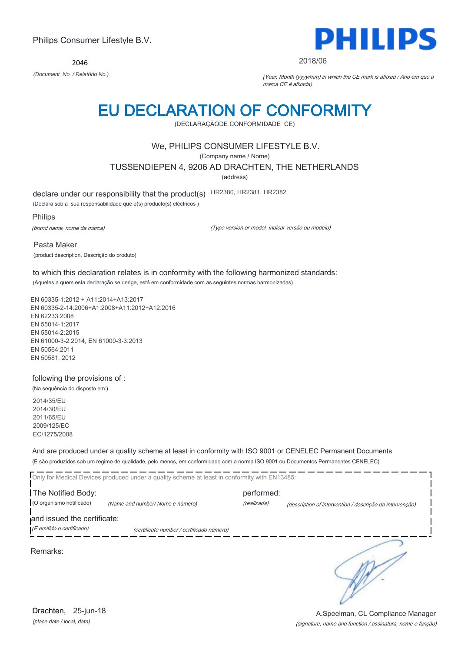2046



### 2018/06

*(Document No. / Relatório No.)* (Year, Month (yyyy/mm) in which the CE mark is affixed / Ano em que a marca CE é afixada)

# EU DECLARATION OF CONFORMITY

(DECLARAÇÃODE CONFORMIDADE CE)

# We, PHILIPS CONSUMER LIFESTYLE B.V.

(Company name / Nome)

TUSSENDIEPEN 4, 9206 AD DRACHTEN, THE NETHERLANDS

(address)

declare under our responsibility that the product(s) HR2380, HR2381, HR2382

(Declara sob a sua responsabilidade que o(s) producto(s) eléctricos )

Philips

(brand name, nome da marca)

(Type version or model, Indicar versão ou modelo)

Pasta Maker (product description, Descrição do produto)

to which this declaration relates is in conformity with the following harmonized standards: (Aqueles a quem esta declaração se derige, está em conformidade com as seguintes normas harmonizadas)

EN 60335-1:2012 + A11:2014+A13:2017 EN 60335-2-14:2006+A1:2008+A11:2012+A12:2016 EN 62233:2008 EN 55014-1:2017 EN 55014-2:2015 EN 61000-3-2:2014, EN 61000-3-3:2013 EN 50564:2011 EN 50581: 2012

## following the provisions of :

(Na sequência do disposto em:) 2014/35/EU

2014/30/EU 2011/65/EU 2009/125/EC EC/1275/2008

And are produced under a quality scheme at least in conformity with ISO 9001 or CENELEC Permanent Documents (E são produzidos sob um regime de qualidade, pelo menos, em conformidade com a norma ISO 9001 ou Documentos Permanentes CENELEC)

| Only for Medical Devices produced under a quality scheme at least in conformity with EN13485: |                                           |                           |                                                          |  |
|-----------------------------------------------------------------------------------------------|-------------------------------------------|---------------------------|----------------------------------------------------------|--|
| The Notified Body:<br>(O organismo notificado)                                                | (Name and number/Nome e número)           | performed:<br>(realizada) | (description of intervention / descrição da intervenção) |  |
| and issued the certificate:<br>(E emitido o certificado)                                      | (certificate number / certificado número) |                           |                                                          |  |
|                                                                                               |                                           |                           |                                                          |  |

Remarks:

*(place,date / local, data)* Drachten, 25-jun-18

## (signature, name and function / assinatura, nome e função) A.Speelman, CL Compliance Manager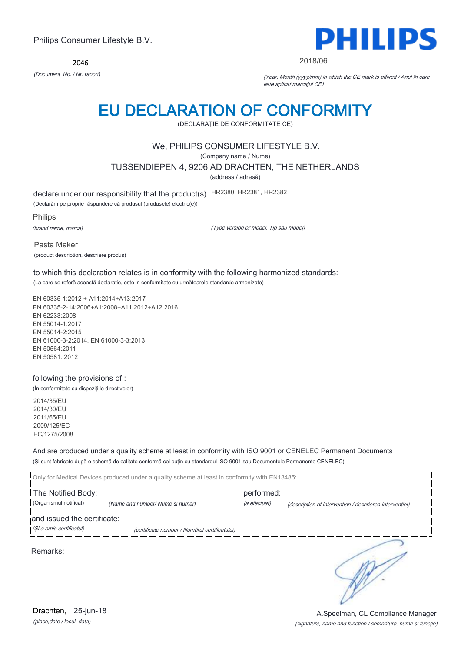2046



### 2018/06

*(Document No. / Nr. raport)* (Year, Month (yyyy/mm) in which the CE mark is affixed / Anul în care este aplicat marcajul CE)

# EU DECLARATION OF CONFORMITY

(DECLARAŢIE DE CONFORMITATE CE)

# We, PHILIPS CONSUMER LIFESTYLE B.V.

(Company name / Nume)

TUSSENDIEPEN 4, 9206 AD DRACHTEN, THE NETHERLANDS

(address / adresă)

declare under our responsibility that the product(s) HR2380, HR2381, HR2382

(Declarăm pe proprie răspundere că produsul (produsele) electric(e))

Philips

(brand name, marca)

(Type version or model, Tip sau model)

Pasta Maker (product description, descriere produs)

to which this declaration relates is in conformity with the following harmonized standards: (La care se referă această declaraţie, este in conformitate cu următoarele standarde armonizate)

EN 60335-1:2012 + A11:2014+A13:2017 EN 60335-2-14:2006+A1:2008+A11:2012+A12:2016 EN 62233:2008 EN 55014-1:2017 EN 55014-2:2015 EN 61000-3-2:2014, EN 61000-3-3:2013 EN 50564:2011 EN 50581: 2012

## following the provisions of :

(În conformitate cu dispoziţiile directivelor)

2014/35/EU 2014/30/EU 2011/65/EU 2009/125/EC EC/1275/2008

And are produced under a quality scheme at least in conformity with ISO 9001 or CENELEC Permanent Documents (Şi sunt fabricate după o schemă de calitate conformă cel puţin cu standardul ISO 9001 sau Documentele Permanente CENELEC)

| Only for Medical Devices produced under a quality scheme at least in conformity with EN13485:            |                                  |                            |                                                         |  |
|----------------------------------------------------------------------------------------------------------|----------------------------------|----------------------------|---------------------------------------------------------|--|
| The Notified Body:<br>(Organismul notificat)                                                             | (Name and number/ Nume si număr) | performed:<br>(a efectuat) | (description of intervention / descrierea interventiei) |  |
| and issued the certificate:<br>(Și a emis certificatul)<br>(certificate number / Numărul certificatului) |                                  |                            |                                                         |  |
|                                                                                                          |                                  |                            |                                                         |  |

Remarks: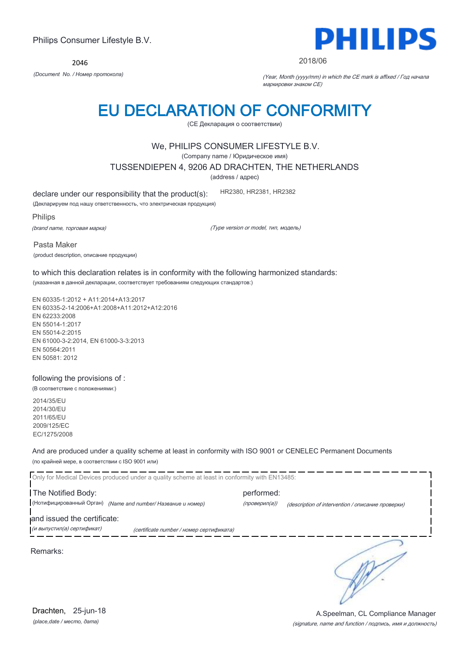2046



### 2018/06

*(Document No. / Номер протокола)* (Year, Month (yyyy/mm) in which the CE mark is affixed / Год начала маркировки знаком CE)

# EU DECLARATION OF CONFORMITY

(CE Декларация о соответствии)

## We, PHILIPS CONSUMER LIFESTYLE B.V.

(Company name / Юридическое имя)

TUSSENDIEPEN 4, 9206 AD DRACHTEN, THE NETHERLANDS

(address / адрес)

declare under our responsibility that the product(s):

(Декларируем под нашу ответственность, что электрическая продукция)

Philips

(brand name, торговая марка)

(Type version or model, тип, модель)

HR2380, HR2381, HR2382

Pasta Maker (product description, описание продукции)

to which this declaration relates is in conformity with the following harmonized standards: (указанная в данной декларации, соответствует требованиям следующих стандартов:)

EN 60335-1:2012 + A11:2014+A13:2017 EN 60335-2-14:2006+A1:2008+A11:2012+A12:2016 EN 62233:2008 EN 55014-1:2017 EN 55014-2:2015 EN 61000-3-2:2014, EN 61000-3-3:2013 EN 50564:2011 EN 50581: 2012

### following the provisions of :

(В соответствие с положениями:)

2014/35/EU 2014/30/EU 2011/65/EU 2009/125/EC EC/1275/2008

And are produced under a quality scheme at least in conformity with ISO 9001 or CENELEC Permanent Documents (по крайней мере, в соответствии с ISO 9001 или)

Only for Medical Devices produced under a quality scheme at least in conformity with EN13485: The Notified Body: example and the performed: (Нотифицированный Орган) *(Name and number/ Название и номер)* (проверил(а)) (description of intervention / описание проверки) and issued the certificate: **.**<br>При выпустил(а) сертификат) при сеrtificate number / номер сертификата) ∍ Remarks: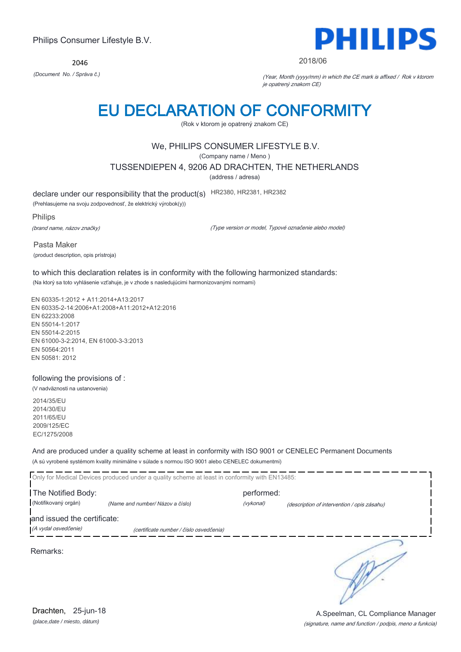2046



### 2018/06

*(Document No. / Správa č.)* (Year, Month (yyyy/mm) in which the CE mark is affixed / Rok v ktorom je opatrený znakom CE)

# EU DECLARATION OF CONFORMITY

(Rok v ktorom je opatrený znakom CE)

# We, PHILIPS CONSUMER LIFESTYLE B.V.

(Company name / Meno )

TUSSENDIEPEN 4, 9206 AD DRACHTEN, THE NETHERLANDS

(address / adresa)

declare under our responsibility that the product(s) HR2380, HR2381, HR2382

(Prehlasujeme na svoju zodpovednosť, že elektrický výrobok(y))

Philips

(brand name, názov značky)

(Type version or model, Typové označenie alebo model)

Pasta Maker (product description, opis prístroja)

to which this declaration relates is in conformity with the following harmonized standards: (Na ktorý sa toto vyhlásenie vzťahuje, je v zhode s nasledujúcimi harmonizovanými normami)

EN 60335-1:2012 + A11:2014+A13:2017 EN 60335-2-14:2006+A1:2008+A11:2012+A12:2016 EN 62233:2008 EN 55014-1:2017 EN 55014-2:2015 EN 61000-3-2:2014, EN 61000-3-3:2013 EN 50564:2011 EN 50581: 2012

## following the provisions of :

(V nadväznosti na ustanovenia) 2014/35/EU

2014/30/EU 2011/65/EU 2009/125/EC EC/1275/2008

And are produced under a quality scheme at least in conformity with ISO 9001 or CENELEC Permanent Documents (A sú vyrobené systémom kvality minimálne v súlade s normou ISO 9001 alebo CENELEC dokumentmi)

Only for Medical Devices produced under a quality scheme at least in conformity with EN13485: The Notified Body: example and the performed: (Notifikovaný orgán) *(Name and number/ Názov a číslo)* (vykonal) (description of intervention / opis zásahu) and issued the certificate: (A vydal osvedčenie) (certificate number / číslo osvedčenia) ∍ Remarks:

(signature, name and function / podpis, meno a funkcia) A.Speelman, CL Compliance Manager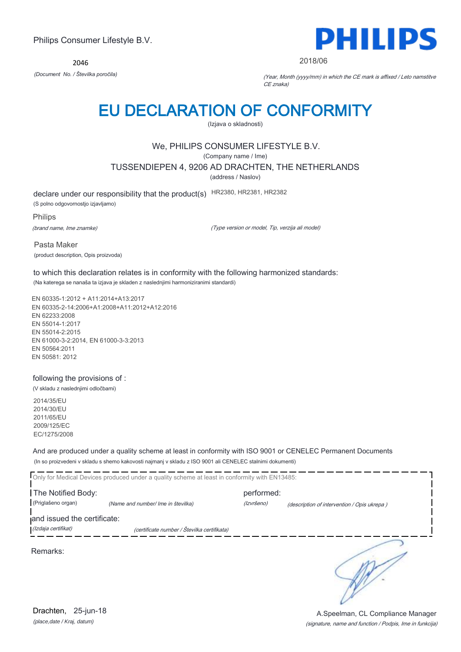2046



2018/06

*(Document No. / Številka poročila)* (Year, Month (yyyy/mm) in which the CE mark is affixed / Leto namstitve CE znaka)

# EU DECLARATION OF CONFORMITY

(Izjava o skladnosti)

# We, PHILIPS CONSUMER LIFESTYLE B.V.

(Company name / Ime)

TUSSENDIEPEN 4, 9206 AD DRACHTEN, THE NETHERLANDS

(address / Naslov)

declare under our responsibility that the product(s) HR2380, HR2381, HR2382

(S polno odgovornostjo izjavljamo)

Philips

(brand name, Ime znamke)

(Type version or model, Tip, verzija ali model)

Pasta Maker (product description, Opis proizvoda)

to which this declaration relates is in conformity with the following harmonized standards: (Na katerega se nanaša ta izjava je skladen z naslednjimi harmoniziranimi standardi)

EN 60335-1:2012 + A11:2014+A13:2017 EN 60335-2-14:2006+A1:2008+A11:2012+A12:2016 EN 62233:2008 EN 55014-1:2017 EN 55014-2:2015 EN 61000-3-2:2014, EN 61000-3-3:2013 EN 50564:2011 EN 50581: 2012

## following the provisions of :

(V skladu z naslednjimi odločbami)

2014/35/EU 2014/30/EU 2011/65/EU 2009/125/EC EC/1275/2008

And are produced under a quality scheme at least in conformity with ISO 9001 or CENELEC Permanent Documents (In so proizvedeni v skladu s shemo kakovosti najmanj v skladu z ISO 9001 ali CENELEC stalnimi dokumenti)

|                                          | Only for Medical Devices produced under a quality scheme at least in conformity with EN13485: |                          |                                             |
|------------------------------------------|-----------------------------------------------------------------------------------------------|--------------------------|---------------------------------------------|
| The Notified Body:<br>(Priglašeno organ) | (Name and number/ Ime in številka)                                                            | performed:<br>(Izvršeno) | (description of intervention / Opis ukrepa) |
| and issued the certificate:              |                                                                                               |                          |                                             |
| (Izdaja certifikat)                      | (certificate number / Številka certifikata)                                                   |                          |                                             |
| Remarks:                                 |                                                                                               |                          |                                             |

*(place,date / Kraj, datum)* Drachten, 25-jun-18

(signature, name and function / Podpis, Ime in funkcija) A.Speelman, CL Compliance Manager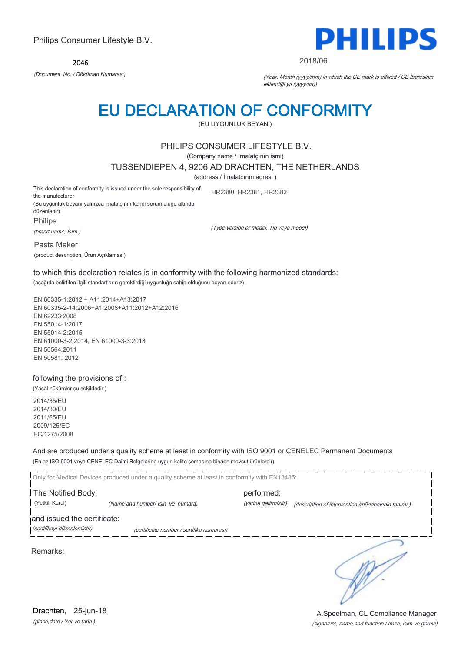2046



### 2018/06

*(Document No. / Döküman Numarası)* (Year, Month (yyyy/mm) in which the CE mark is affixed / CE İbaresinin eklendiği yıl (yyyy/aa))

# EU DECLARATION OF CONFORMITY

(EU UYGUNLUK BEYANI)

## PHILIPS CONSUMER LIFESTYLE B.V.

(Company name / İmalatçının ismi)

TUSSENDIEPEN 4, 9206 AD DRACHTEN, THE NETHERLANDS

(address / İmalatçının adresi )

This declaration of conformity is issued under the sole responsibility of the manufacturer HR2380, HR2381, HR2382

(Bu uygunluk beyanı yalnızca imalatçının kendi sorumluluğu altında düzenlenir) Philips

(brand name, İsim )

(Type version or model, Tip veya model)

Pasta Maker

(product description, Ürün Açıklamas )

to which this declaration relates is in conformity with the following harmonized standards: (aşağıda belirtilen ilgili standartların gerektirdiği uygunluğa sahip olduğunu beyan ederiz)

EN 60335-1:2012 + A11:2014+A13:2017 EN 60335-2-14:2006+A1:2008+A11:2012+A12:2016 EN 62233:2008 EN 55014-1:2017 EN 55014-2:2015 EN 61000-3-2:2014, EN 61000-3-3:2013 EN 50564:2011 EN 50581: 2012

## following the provisions of :

(Yasal hükümler şu şekildedir:)

2014/35/EU 2014/30/EU 2011/65/EU 2009/125/EC EC/1275/2008

And are produced under a quality scheme at least in conformity with ISO 9001 or CENELEC Permanent Documents (En az ISO 9001 veya CENELEC Daimi Belgelerine uygun kalite şemasına binaen mevcut ürünlerdir)

Only for Medical Devices produced under a quality scheme at least in conformity with EN13485: The Notified Body: performed: (Yetkili Kurul) *(Name and number/ Isin ve numara)* (yerine getirmiştir) (description of intervention /müdahalenin tanımı )

and issued the certificate:

(sertifikayı düzenlemiştir) (certificate number / sertifika numarası)

Remarks:

*(place,date / Yer ve tarih )* Drachten, 25-jun-18

∋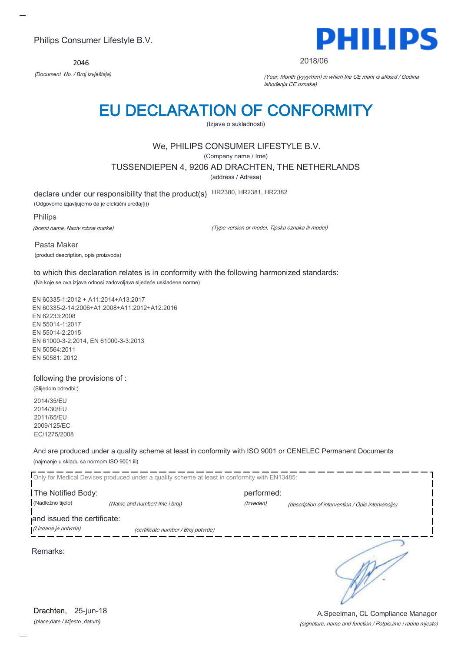2046



### 2018/06

*(Document No. / Broj izvještaja)* (Year, Month (yyyy/mm) in which the CE mark is affixed / Godina ishođenja CE oznake)

# EU DECLARATION OF CONFORMITY

(Izjava o sukladnosti)

# We, PHILIPS CONSUMER LIFESTYLE B.V.

(Company name / Ime)

TUSSENDIEPEN 4, 9206 AD DRACHTEN, THE NETHERLANDS

(address / Adresa)

declare under our responsibility that the product(s) HR2380, HR2381, HR2382

(Odgovorno izjavljujemo da je elektični uređaj(i))

Philips

(brand name, Naziv robne marke)

(Type version or model, Tipska oznaka ili model)

Pasta Maker (product description, opis proizvoda)

to which this declaration relates is in conformity with the following harmonized standards: (Na koje se ova izjava odnosi zadovoljava sljedeće usklađene norme)

EN 60335-1:2012 + A11:2014+A13:2017 EN 60335-2-14:2006+A1:2008+A11:2012+A12:2016 EN 62233:2008 EN 55014-1:2017 EN 55014-2:2015 EN 61000-3-2:2014, EN 61000-3-3:2013 EN 50564:2011 EN 50581: 2012

## following the provisions of :

(Slijedom odredbi:) 2014/35/EU 2014/30/EU 2011/65/EU 2009/125/EC

EC/1275/2008

And are produced under a quality scheme at least in conformity with ISO 9001 or CENELEC Permanent Documents (najmanje u skladu sa normom ISO 9001 ili)

|                                                      | Only for Medical Devices produced under a quality scheme at least in conformity with EN13485: |            |                                                   |
|------------------------------------------------------|-----------------------------------------------------------------------------------------------|------------|---------------------------------------------------|
| The Notified Body:                                   |                                                                                               | performed: |                                                   |
| (Nadležno tijelo)                                    | (Name and number/ Ime i broj)                                                                 | (Izveden)  | (description of intervention / Opis intervencije) |
| and issued the certificate:<br>(l izdana je potvrda) | (certificate number / Broj potvrde)                                                           |            |                                                   |
| Remarks:                                             |                                                                                               |            |                                                   |

(signature, name and function / Potpis,ime i radno mjesto) A.Speelman, CL Compliance Manager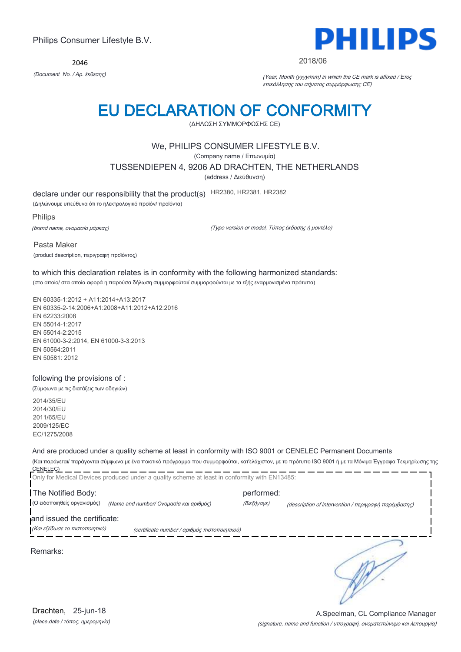2046



### 2018/06

*(Document No. / Αρ. έκθεσης)* (Year, Month (yyyy/mm) in which the CE mark is affixed / Έτος επικόλλησης του σήματος συμμόρφωσης CE)

# EU DECLARATION OF CONFORMITY

(ΔΗΛΩΣΗ ΣΥΜΜΟΡΦΩΣΗΣ CE)

# We, PHILIPS CONSUMER LIFESTYLE B.V.

(Company name / Επωνυμία)

TUSSENDIEPEN 4, 9206 AD DRACHTEN, THE NETHERLANDS

(address / Διεύθυνση)

declare under our responsibility that the product(s) HR2380, HR2381, HR2382

(Δηλώνουμε υπεύθυνα ότι το ηλεκτρολογικό προϊόν/ προϊόντα)

Philips

(brand name, ονομασία μάρκας)

(Type version or model, Τύπος έκδοσης ή μοντέλο)

Pasta Maker

(product description, περιγραφή προϊόντος)

### to which this declaration relates is in conformity with the following harmonized standards: (στο οποίο/ στα οποία αφορά η παρούσα δήλωση συμμορφούται/ συμμορφούνται με τα εξής εναρμονισμένα πρότυπα)

EN 60335-1:2012 + A11:2014+A13:2017 EN 60335-2-14:2006+A1:2008+A11:2012+A12:2016 EN 62233:2008 EN 55014-1:2017 EN 55014-2:2015 EN 61000-3-2:2014, EN 61000-3-3:2013 EN 50564:2011 EN 50581: 2012

## following the provisions of :

(Σύμφωνα με τις διατάξεις των οδηγιών)

2014/35/EU 2014/30/EU 2011/65/EU 2009/125/EC EC/1275/2008

## And are produced under a quality scheme at least in conformity with ISO 9001 or CENELEC Permanent Documents

(Και παράγεται/ παράγονται σύμφωνα με ένα ποιοτικό πρόγραμμα που συμμορφούται, κατ'ελάχιστον, με το πρότυπο ISO 9001 ή με τα Μόνιμα Έγγραφα Τεκμηρίωσης της CENELEC)

|                                | Only for Medical Devices produced under a quality scheme at least in conformity with EN13485: |             |                                                      |
|--------------------------------|-----------------------------------------------------------------------------------------------|-------------|------------------------------------------------------|
| The Notified Body:             |                                                                                               | performed:  |                                                      |
| (Ο ειδοποιηθείς οργανισμός)    | (Name and number/ Ονομασία και αριθμός)                                                       | (διεξήγαγε) | (description of intervention / περιγραφή παρέμβασης) |
| and issued the certificate:    |                                                                                               |             |                                                      |
| (Και εξέδωσε το πιστοποιητικό) | (certificate number / αριθμός πιστοποιητικού)                                                 |             |                                                      |
| Remarks:                       |                                                                                               |             |                                                      |

*(place,date / τόπος, ημερομηνία)* Drachten, 25-jun-18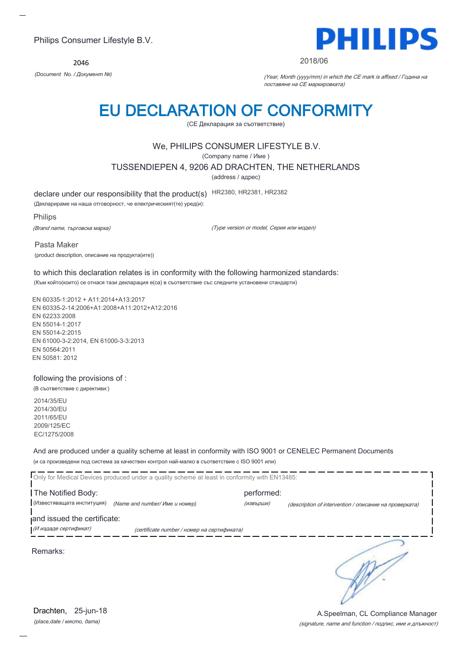2046



### 2018/06

*(Document No. / Документ №)* (Year, Month (yyyy/mm) in which the CE mark is affixed / Година на поставяне на CE маркировката)

# EU DECLARATION OF CONFORMITY

(CE Декларация за съответствие)

# We, PHILIPS CONSUMER LIFESTYLE B.V.

(Company name / Име )

TUSSENDIEPEN 4, 9206 AD DRACHTEN, THE NETHERLANDS

(address / адрес)

declare under our responsibility that the product(s) HR2380, HR2381, HR2382

(Декларираме на наша отговорност, че електрическият(те) уред(и):

Philips

(Brand name, търговска марка)

(Type version or model, Серия или модел)

Pasta Maker (product description, описание на продукта(ите))

to which this declaration relates is in conformity with the following harmonized standards:

(Към който(които) се отнася тази декларация е(са) в съответствие със следните установени стандарти)

EN 60335-1:2012 + A11:2014+A13:2017 EN 60335-2-14:2006+A1:2008+A11:2012+A12:2016 EN 62233:2008 EN 55014-1:2017 EN 55014-2:2015 EN 61000-3-2:2014, EN 61000-3-3:2013 EN 50564:2011 EN 50581: 2012

## following the provisions of :

(В съответствие с директиви:)

2014/35/EU 2014/30/EU 2011/65/EU 2009/125/EC EC/1275/2008

And are produced under a quality scheme at least in conformity with ISO 9001 or CENELEC Permanent Documents (и са произведени под система за качествен контрол най-малко в съответствие с ISO 9001 или)

| Only for Medical Devices produced under a quality scheme at least in conformity with EN13485: |                                             |                         |                                                        |  |
|-----------------------------------------------------------------------------------------------|---------------------------------------------|-------------------------|--------------------------------------------------------|--|
| The Notified Body:<br>(Известяващата институция)                                              | (Name and number/ Име и номер)              | performed:<br>(извърши) | (description of intervention / описание на проверката) |  |
| and issued the certificate:<br>(И издаде сертификат)                                          | (certificate number / номер на сертификата) |                         |                                                        |  |
| Remarks:                                                                                      |                                             |                         |                                                        |  |

(signature, name and function / подпис, име и длъжност) A.Speelman, CL Compliance Manager

*(place,date / място, дата)* Drachten, 25-jun-18